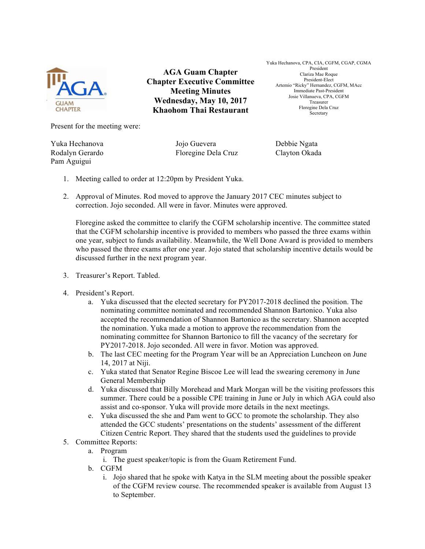

**AGA Guam Chapter Chapter Executive Committee Meeting Minutes Wednesday, May 10, 2017 Khaohom Thai Restaurant**

Yuka Hechanova, CPA, CIA, CGFM, CGAP, CGMA President Clariza Mae Roque President-Elect Artemio "Ricky" Hernandez, CGFM, MAcc Immediate Past-President Josie Villanueva, CPA, CGFM Treasurer Floregine Dela Cruz Secretary

Present for the meeting were:

Pam Aguigui

Yuka Hechanova Jojo Guevera Debbie Ngata Rodalyn Gerardo Floregine Dela Cruz Clayton Okada

- 1. Meeting called to order at 12:20pm by President Yuka.
- 2. Approval of Minutes. Rod moved to approve the January 2017 CEC minutes subject to correction. Jojo seconded. All were in favor. Minutes were approved.

Floregine asked the committee to clarify the CGFM scholarship incentive. The committee stated that the CGFM scholarship incentive is provided to members who passed the three exams within one year, subject to funds availability. Meanwhile, the Well Done Award is provided to members who passed the three exams after one year. Jojo stated that scholarship incentive details would be discussed further in the next program year.

- 3. Treasurer's Report. Tabled.
- 4. President's Report.
	- a. Yuka discussed that the elected secretary for PY2017-2018 declined the position. The nominating committee nominated and recommended Shannon Bartonico. Yuka also accepted the recommendation of Shannon Bartonico as the secretary. Shannon accepted the nomination. Yuka made a motion to approve the recommendation from the nominating committee for Shannon Bartonico to fill the vacancy of the secretary for PY2017-2018. Jojo seconded. All were in favor. Motion was approved.
	- b. The last CEC meeting for the Program Year will be an Appreciation Luncheon on June 14, 2017 at Niji.
	- c. Yuka stated that Senator Regine Biscoe Lee will lead the swearing ceremony in June General Membership
	- d. Yuka discussed that Billy Morehead and Mark Morgan will be the visiting professors this summer. There could be a possible CPE training in June or July in which AGA could also assist and co-sponsor. Yuka will provide more details in the next meetings.
	- e. Yuka discussed the she and Pam went to GCC to promote the scholarship. They also attended the GCC students' presentations on the students' assessment of the different Citizen Centric Report. They shared that the students used the guidelines to provide
- 5. Committee Reports:
	- a. Program
		- i. The guest speaker/topic is from the Guam Retirement Fund.
	- b. CGFM
		- i. Jojo shared that he spoke with Katya in the SLM meeting about the possible speaker of the CGFM review course. The recommended speaker is available from August 13 to September.